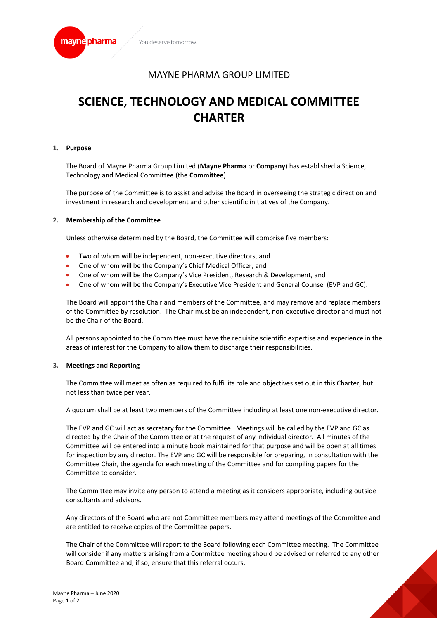

# MAYNE PHARMA GROUP LIMITED

# **SCIENCE, TECHNOLOGY AND MEDICAL COMMITTEE CHARTER**

### **1. Purpose**

The Board of Mayne Pharma Group Limited (**Mayne Pharma** or **Company**) has established a Science, Technology and Medical Committee (the **Committee**).

The purpose of the Committee is to assist and advise the Board in overseeing the strategic direction and investment in research and development and other scientific initiatives of the Company.

#### **2. Membership of the Committee**

Unless otherwise determined by the Board, the Committee will comprise five members:

- Two of whom will be independent, non-executive directors, and
- One of whom will be the Company's Chief Medical Officer; and
- One of whom will be the Company's Vice President, Research & Development, and
- One of whom will be the Company's Executive Vice President and General Counsel (EVP and GC).

The Board will appoint the Chair and members of the Committee, and may remove and replace members of the Committee by resolution. The Chair must be an independent, non-executive director and must not be the Chair of the Board.

All persons appointed to the Committee must have the requisite scientific expertise and experience in the areas of interest for the Company to allow them to discharge their responsibilities.

## **3. Meetings and Reporting**

The Committee will meet as often as required to fulfil its role and objectives set out in this Charter, but not less than twice per year.

A quorum shall be at least two members of the Committee including at least one non-executive director.

The EVP and GC will act as secretary for the Committee. Meetings will be called by the EVP and GC as directed by the Chair of the Committee or at the request of any individual director. All minutes of the Committee will be entered into a minute book maintained for that purpose and will be open at all times for inspection by any director. The EVP and GC will be responsible for preparing, in consultation with the Committee Chair, the agenda for each meeting of the Committee and for compiling papers for the Committee to consider.

The Committee may invite any person to attend a meeting as it considers appropriate, including outside consultants and advisors.

Any directors of the Board who are not Committee members may attend meetings of the Committee and are entitled to receive copies of the Committee papers.

The Chair of the Committee will report to the Board following each Committee meeting. The Committee will consider if any matters arising from a Committee meeting should be advised or referred to any other Board Committee and, if so, ensure that this referral occurs.